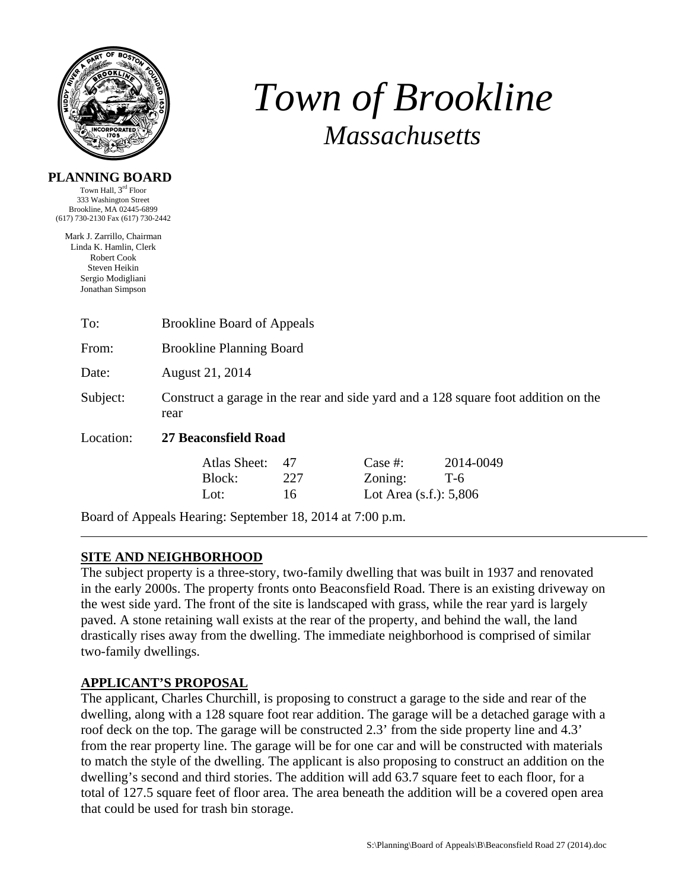

# *Town of Brookline Massachusetts*

#### **PLANNING BOARD**

Town Hall, 3rd Floor 333 Washington Street Brookline, MA 02445-6899 (617) 730-2130 Fax (617) 730-2442

Mark J. Zarrillo, Chairman Linda K. Hamlin, Clerk Robert Cook Steven Heikin Sergio Modigliani Jonathan Simpson

| To:       | <b>Brookline Board of Appeals</b>                                                          |                 |                                                 |                    |  |  |  |
|-----------|--------------------------------------------------------------------------------------------|-----------------|-------------------------------------------------|--------------------|--|--|--|
| From:     | <b>Brookline Planning Board</b>                                                            |                 |                                                 |                    |  |  |  |
| Date:     | August 21, 2014                                                                            |                 |                                                 |                    |  |  |  |
| Subject:  | Construct a garage in the rear and side yard and a 128 square foot addition on the<br>rear |                 |                                                 |                    |  |  |  |
| Location: | 27 Beaconsfield Road                                                                       |                 |                                                 |                    |  |  |  |
|           | Atlas Sheet:<br>Block:<br>Lot:                                                             | 47<br>227<br>16 | Case #:<br>Zoning:<br>Lot Area $(s.f.)$ : 5,806 | 2014-0049<br>$T-6$ |  |  |  |
|           | Board of Appeals Hearing: September 18, 2014 at 7:00 p.m.                                  |                 |                                                 |                    |  |  |  |

# **SITE AND NEIGHBORHOOD**

The subject property is a three-story, two-family dwelling that was built in 1937 and renovated in the early 2000s. The property fronts onto Beaconsfield Road. There is an existing driveway on the west side yard. The front of the site is landscaped with grass, while the rear yard is largely paved. A stone retaining wall exists at the rear of the property, and behind the wall, the land drastically rises away from the dwelling. The immediate neighborhood is comprised of similar two-family dwellings.

## **APPLICANT'S PROPOSAL**

The applicant, Charles Churchill, is proposing to construct a garage to the side and rear of the dwelling, along with a 128 square foot rear addition. The garage will be a detached garage with a roof deck on the top. The garage will be constructed 2.3' from the side property line and 4.3' from the rear property line. The garage will be for one car and will be constructed with materials to match the style of the dwelling. The applicant is also proposing to construct an addition on the dwelling's second and third stories. The addition will add 63.7 square feet to each floor, for a total of 127.5 square feet of floor area. The area beneath the addition will be a covered open area that could be used for trash bin storage.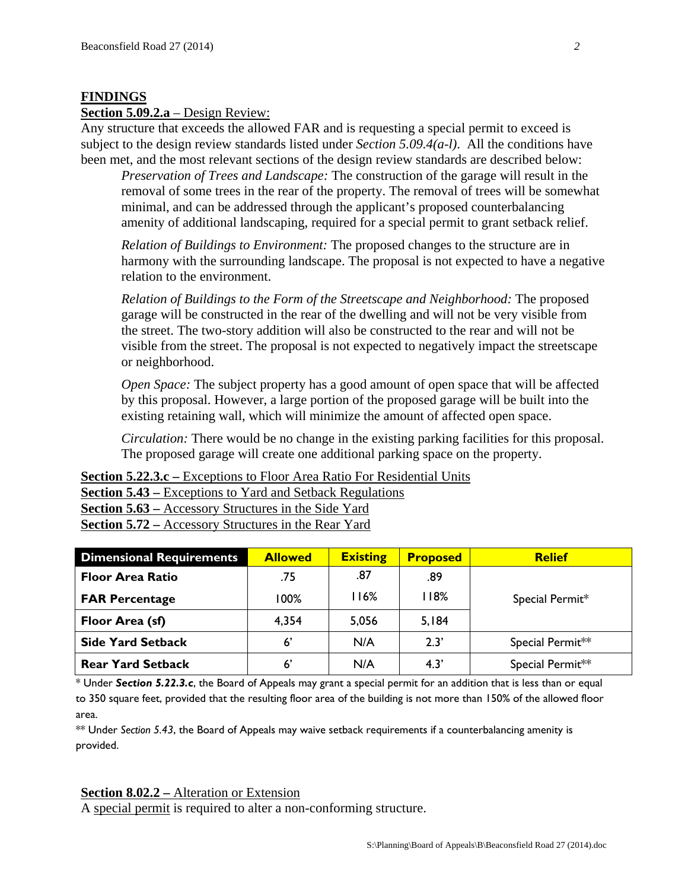#### **FINDINGS**

#### **Section 5.09.2.a** – Design Review:

Any structure that exceeds the allowed FAR and is requesting a special permit to exceed is subject to the design review standards listed under *Section 5.09.4(a-l)*. All the conditions have been met, and the most relevant sections of the design review standards are described below:

*Preservation of Trees and Landscape:* The construction of the garage will result in the removal of some trees in the rear of the property. The removal of trees will be somewhat minimal, and can be addressed through the applicant's proposed counterbalancing amenity of additional landscaping, required for a special permit to grant setback relief.

*Relation of Buildings to Environment:* The proposed changes to the structure are in harmony with the surrounding landscape. The proposal is not expected to have a negative relation to the environment.

*Relation of Buildings to the Form of the Streetscape and Neighborhood:* The proposed garage will be constructed in the rear of the dwelling and will not be very visible from the street. The two-story addition will also be constructed to the rear and will not be visible from the street. The proposal is not expected to negatively impact the streetscape or neighborhood.

*Open Space:* The subject property has a good amount of open space that will be affected by this proposal. However, a large portion of the proposed garage will be built into the existing retaining wall, which will minimize the amount of affected open space.

*Circulation:* There would be no change in the existing parking facilities for this proposal. The proposed garage will create one additional parking space on the property.

**Section 5.22.3.c –** Exceptions to Floor Area Ratio For Residential Units **<u>Section 5.43 – Exceptions to Yard</u>** and Setback Regulations

**Section 5.63 –** Accessory Structures in the Side Yard **Section 5.72 –** Accessory Structures in the Rear Yard

| <b>Dimensional Requirements</b> | <b>Allowed</b> | <b>Existing</b> | <b>Proposed</b> | <b>Relief</b>    |
|---------------------------------|----------------|-----------------|-----------------|------------------|
| <b>Floor Area Ratio</b>         | .75            | .87             | .89             | Special Permit*  |
| <b>FAR Percentage</b>           | 100%           | 116%            | 118%            |                  |
| Floor Area (sf)                 | 4.354          | 5,056           | 5,184           |                  |
| <b>Side Yard Setback</b>        | $6^{\prime}$   | N/A             | 2.3'            | Special Permit** |
| <b>Rear Yard Setback</b>        | $6^{\prime}$   | N/A             | 4.3'            | Special Permit** |

\* Under *Section 5.22.3.c*, the Board of Appeals may grant a special permit for an addition that is less than or equal to 350 square feet, provided that the resulting floor area of the building is not more than 150% of the allowed floor area.

\*\* Under *Section 5.43*, the Board of Appeals may waive setback requirements if a counterbalancing amenity is provided.

#### **Section 8.02.2 –** Alteration or Extension

A special permit is required to alter a non-conforming structure.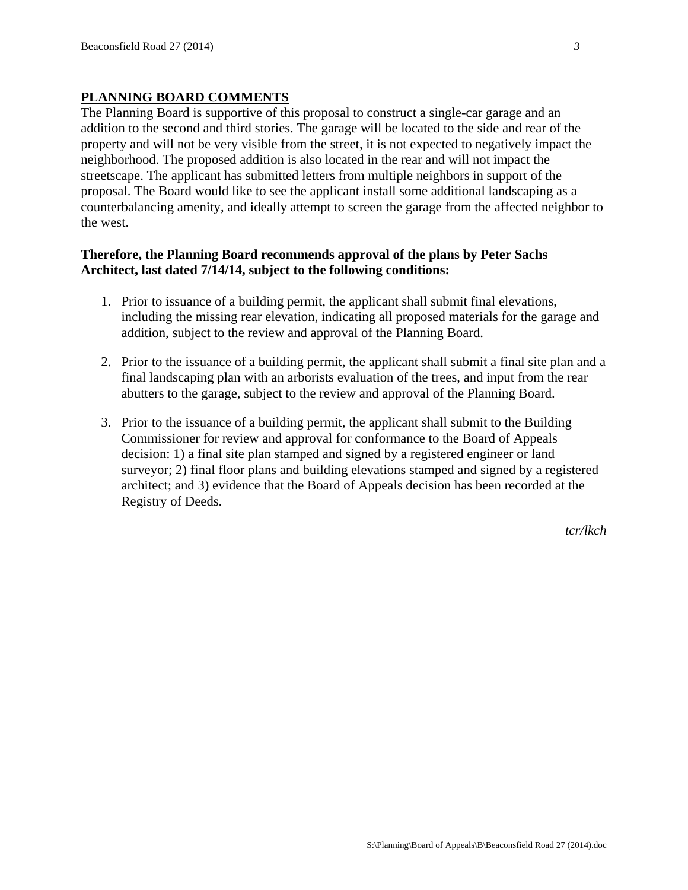### **PLANNING BOARD COMMENTS**

The Planning Board is supportive of this proposal to construct a single-car garage and an addition to the second and third stories. The garage will be located to the side and rear of the property and will not be very visible from the street, it is not expected to negatively impact the neighborhood. The proposed addition is also located in the rear and will not impact the streetscape. The applicant has submitted letters from multiple neighbors in support of the proposal. The Board would like to see the applicant install some additional landscaping as a counterbalancing amenity, and ideally attempt to screen the garage from the affected neighbor to the west.

#### **Therefore, the Planning Board recommends approval of the plans by Peter Sachs Architect, last dated 7/14/14, subject to the following conditions:**

- 1. Prior to issuance of a building permit, the applicant shall submit final elevations, including the missing rear elevation, indicating all proposed materials for the garage and addition, subject to the review and approval of the Planning Board.
- 2. Prior to the issuance of a building permit, the applicant shall submit a final site plan and a final landscaping plan with an arborists evaluation of the trees, and input from the rear abutters to the garage, subject to the review and approval of the Planning Board.
- 3. Prior to the issuance of a building permit, the applicant shall submit to the Building Commissioner for review and approval for conformance to the Board of Appeals decision: 1) a final site plan stamped and signed by a registered engineer or land surveyor; 2) final floor plans and building elevations stamped and signed by a registered architect; and 3) evidence that the Board of Appeals decision has been recorded at the Registry of Deeds.

*tcr/lkch*